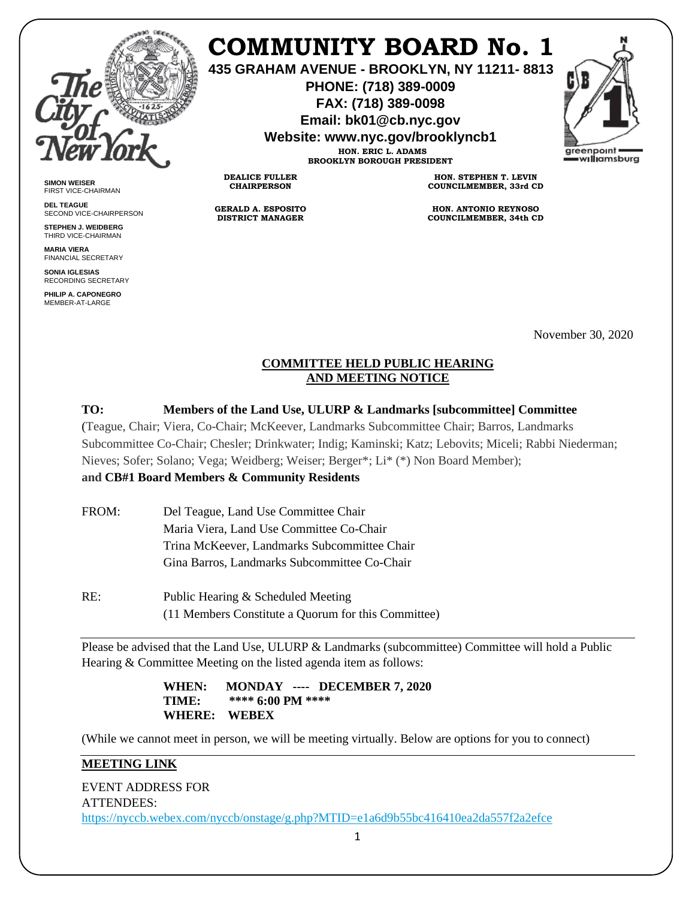

**SIMON WEISER** FIRST VICE-CHAIRMAN **DEL TEAGUE**

SECOND VICE-CHAIRPERSON **STEPHEN J. WEIDBERG** THIRD VICE-CHAIRMAN **MARIA VIERA** FINANCIAL SECRETARY **SONIA IGLESIAS** RECORDING SECRETARY **PHILIP A. CAPONEGRO** MEMBER-AT-LARGE

# **COMMUNITY BOARD No. 1**

**435 GRAHAM AVENUE - BROOKLYN, NY 11211- 8813**

**PHONE: (718) 389-0009 FAX: (718) 389-0098**

**Email: bk01@cb.nyc.gov**

**Website: www.nyc.gov/brooklyncb1**

**HON. ERIC L. ADAMS BROOKLYN BOROUGH PRESIDENT**

**DEALICE FULLER CHAIRPERSON**

**GERALD A. ESPOSITO DISTRICT MANAGER**

**HON. STEPHEN T. LEVIN COUNCILMEMBER, 33rd CD**

**HON. ANTONIO REYNOSO COUNCILMEMBER, 34th CD**

November 30, 2020

## **COMMITTEE HELD PUBLIC HEARING AND MEETING NOTICE**

# **TO: Members of the Land Use, ULURP & Landmarks [subcommittee] Committee**

(Teague, Chair; Viera, Co-Chair; McKeever, Landmarks Subcommittee Chair; Barros, Landmarks Subcommittee Co-Chair; Chesler; Drinkwater; Indig; Kaminski; Katz; Lebovits; Miceli; Rabbi Niederman; Nieves; Sofer; Solano; Vega; Weidberg; Weiser; Berger\*; Li\* (\*) Non Board Member);

## **and CB#1 Board Members & Community Residents**

- FROM: Del Teague, Land Use Committee Chair Maria Viera, Land Use Committee Co-Chair Trina McKeever, Landmarks Subcommittee Chair Gina Barros, Landmarks Subcommittee Co-Chair
- RE: Public Hearing & Scheduled Meeting (11 Members Constitute a Quorum for this Committee)

Please be advised that the Land Use, ULURP & Landmarks (subcommittee) Committee will hold a Public Hearing & Committee Meeting on the listed agenda item as follows:

## **WHEN: MONDAY ---- DECEMBER 7, 2020 TIME: \*\*\*\* 6:00 PM \*\*\*\* WHERE: WEBEX**

(While we cannot meet in person, we will be meeting virtually. Below are options for you to connect)

## **MEETING LINK**

EVENT ADDRESS FOR ATTENDEES: <https://nyccb.webex.com/nyccb/onstage/g.php?MTID=e1a6d9b55bc416410ea2da557f2a2efce>

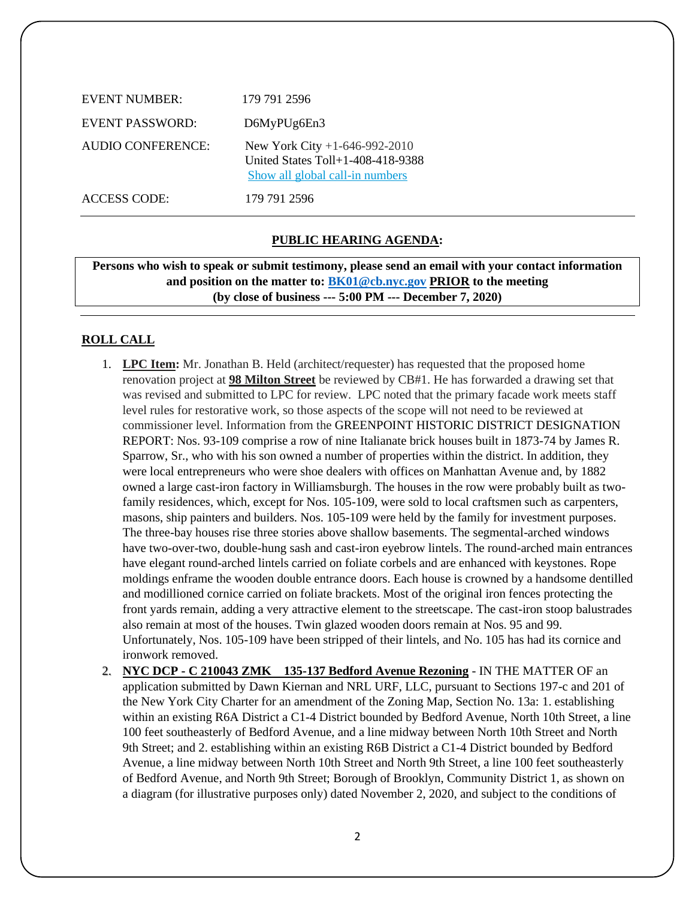| EVENT NUMBER:       | 179 791 2596                                                                                              |
|---------------------|-----------------------------------------------------------------------------------------------------------|
| EVENT PASSWORD:     | D6MyPUg6En3                                                                                               |
| AUDIO CONFERENCE:   | New York City $+1-646-992-2010$<br>United States $Toll+1-408-418-9388$<br>Show all global call-in numbers |
| <b>ACCESS CODE:</b> | 179 791 2596                                                                                              |

#### **PUBLIC HEARING AGENDA:**

**Persons who wish to speak or submit testimony, please send an email with your contact information and position on the matter to: [BK01@cb.nyc.gov](mailto:BK01@cb.nyc.gov) PRIOR to the meeting (by close of business --- 5:00 PM --- December 7, 2020)**

## **ROLL CALL**

- 1. **LPC Item:** Mr. Jonathan B. Held (architect/requester) has requested that the proposed home renovation project at **98 Milton Street** be reviewed by CB#1. He has forwarded a drawing set that was revised and submitted to LPC for review. LPC noted that the primary facade work meets staff level rules for restorative work, so those aspects of the scope will not need to be reviewed at commissioner level. Information from the GREENPOINT HISTORIC DISTRICT DESIGNATION REPORT: Nos. 93-109 comprise a row of nine Italianate brick houses built in 1873-74 by James R. Sparrow, Sr., who with his son owned a number of properties within the district. In addition, they were local entrepreneurs who were shoe dealers with offices on Manhattan Avenue and, by 1882 owned a large cast-iron factory in Williamsburgh. The houses in the row were probably built as twofamily residences, which, except for Nos. 105-109, were sold to local craftsmen such as carpenters, masons, ship painters and builders. Nos. 105-109 were held by the family for investment purposes. The three-bay houses rise three stories above shallow basements. The segmental-arched windows have two-over-two, double-hung sash and cast-iron eyebrow lintels. The round-arched main entrances have elegant round-arched lintels carried on foliate corbels and are enhanced with keystones. Rope moldings enframe the wooden double entrance doors. Each house is crowned by a handsome dentilled and modillioned cornice carried on foliate brackets. Most of the original iron fences protecting the front yards remain, adding a very attractive element to the streetscape. The cast-iron stoop balustrades also remain at most of the houses. Twin glazed wooden doors remain at Nos. 95 and 99. Unfortunately, Nos. 105-109 have been stripped of their lintels, and No. 105 has had its cornice and ironwork removed.
- 2. **NYC DCP - C 210043 ZMK 135-137 Bedford Avenue Rezoning** IN THE MATTER OF an application submitted by Dawn Kiernan and NRL URF, LLC, pursuant to Sections 197-c and 201 of the New York City Charter for an amendment of the Zoning Map, Section No. 13a: 1. establishing within an existing R6A District a C1-4 District bounded by Bedford Avenue, North 10th Street, a line 100 feet southeasterly of Bedford Avenue, and a line midway between North 10th Street and North 9th Street; and 2. establishing within an existing R6B District a C1-4 District bounded by Bedford Avenue, a line midway between North 10th Street and North 9th Street, a line 100 feet southeasterly of Bedford Avenue, and North 9th Street; Borough of Brooklyn, Community District 1, as shown on a diagram (for illustrative purposes only) dated November 2, 2020, and subject to the conditions of